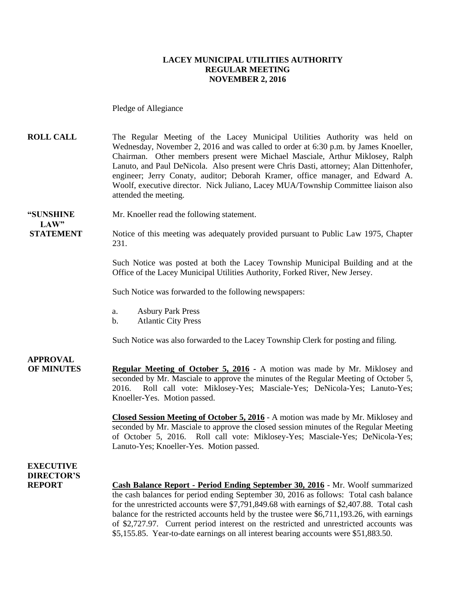#### **LACEY MUNICIPAL UTILITIES AUTHORITY REGULAR MEETING NOVEMBER 2, 2016**

Pledge of Allegiance

**ROLL CALL** The Regular Meeting of the Lacey Municipal Utilities Authority was held on Wednesday, November 2, 2016 and was called to order at 6:30 p.m. by James Knoeller, Chairman. Other members present were Michael Masciale, Arthur Miklosey, Ralph Lanuto, and Paul DeNicola. Also present were Chris Dasti, attorney; Alan Dittenhofer, engineer; Jerry Conaty, auditor; Deborah Kramer, office manager, and Edward A. Woolf, executive director. Nick Juliano, Lacey MUA/Township Committee liaison also attended the meeting.

**LAW"** 

**"SUNSHINE** Mr. Knoeller read the following statement.

**STATEMENT** Notice of this meeting was adequately provided pursuant to Public Law 1975, Chapter 231.

> Such Notice was posted at both the Lacey Township Municipal Building and at the Office of the Lacey Municipal Utilities Authority, Forked River, New Jersey.

Such Notice was forwarded to the following newspapers:

- a. Asbury Park Press
- b. Atlantic City Press

Such Notice was also forwarded to the Lacey Township Clerk for posting and filing.

**APPROVAL**

**OF MINUTES Regular Meeting of October 5, 2016 -** A motion was made by Mr. Miklosey and seconded by Mr. Masciale to approve the minutes of the Regular Meeting of October 5, 2016. Roll call vote: Miklosey-Yes; Masciale-Yes; DeNicola-Yes; Lanuto-Yes; Knoeller-Yes. Motion passed.

> **Closed Session Meeting of October 5, 2016** - A motion was made by Mr. Miklosey and seconded by Mr. Masciale to approve the closed session minutes of the Regular Meeting of October 5, 2016. Roll call vote: Miklosey-Yes; Masciale-Yes; DeNicola-Yes; Lanuto-Yes; Knoeller-Yes. Motion passed.

#### **EXECUTIVE DIRECTOR'S**

**REPORT Cash Balance Report - Period Ending September 30, 2016** - Mr. Woolf summarized the cash balances for period ending September 30, 2016 as follows: Total cash balance for the unrestricted accounts were \$7,791,849.68 with earnings of \$2,407.88. Total cash balance for the restricted accounts held by the trustee were \$6,711,193.26, with earnings of \$2,727.97. Current period interest on the restricted and unrestricted accounts was \$5,155.85. Year-to-date earnings on all interest bearing accounts were \$51,883.50.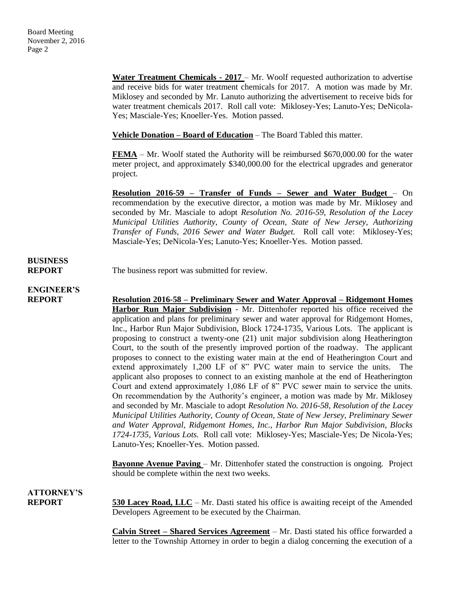**Water Treatment Chemicals - 2017** – Mr. Woolf requested authorization to advertise and receive bids for water treatment chemicals for 2017. A motion was made by Mr. Miklosey and seconded by Mr. Lanuto authorizing the advertisement to receive bids for water treatment chemicals 2017. Roll call vote: Miklosey-Yes; Lanuto-Yes; DeNicola-Yes; Masciale-Yes; Knoeller-Yes. Motion passed.

**Vehicle Donation – Board of Education** – The Board Tabled this matter.

**FEMA** – Mr. Woolf stated the Authority will be reimbursed \$670,000.00 for the water meter project, and approximately \$340,000.00 for the electrical upgrades and generator project.

**Resolution 2016-59 – Transfer of Funds – Sewer and Water Budget** – On recommendation by the executive director, a motion was made by Mr. Miklosey and seconded by Mr. Masciale to adopt *Resolution No. 2016-59, Resolution of the Lacey Municipal Utilities Authority, County of Ocean, State of New Jersey, Authorizing Transfer of Funds, 2016 Sewer and Water Budget.* Roll call vote: Miklosey-Yes; Masciale-Yes; DeNicola-Yes; Lanuto-Yes; Knoeller-Yes. Motion passed.

## **BUSINESS**

**REPORT** The business report was submitted for review.

### **ENGINEER'S**

**REPORT Resolution 2016-58 – Preliminary Sewer and Water Approval – Ridgemont Homes Harbor Run Major Subdivision** - Mr. Dittenhofer reported his office received the application and plans for preliminary sewer and water approval for Ridgemont Homes, Inc., Harbor Run Major Subdivision, Block 1724-1735, Various Lots. The applicant is proposing to construct a twenty-one (21) unit major subdivision along Heatherington Court, to the south of the presently improved portion of the roadway. The applicant proposes to connect to the existing water main at the end of Heatherington Court and extend approximately 1,200 LF of 8" PVC water main to service the units. The applicant also proposes to connect to an existing manhole at the end of Heatherington Court and extend approximately 1,086 LF of 8" PVC sewer main to service the units. On recommendation by the Authority's engineer, a motion was made by Mr. Miklosey and seconded by Mr. Masciale to adopt *Resolution No. 2016-58, Resolution of the Lacey Municipal Utilities Authority, County of Ocean, State of New Jersey, Preliminary Sewer and Water Approval, Ridgemont Homes, Inc., Harbor Run Major Subdivision, Blocks 1724-1735, Various Lots.* Roll call vote: Miklosey-Yes; Masciale-Yes; De Nicola-Yes; Lanuto-Yes; Knoeller-Yes. Motion passed.

> **Bayonne Avenue Paving – Mr.** Dittenhofer stated the construction is ongoing. Project should be complete within the next two weeks.

# **ATTORNEY'S**

**REPORT** 530 Lacey Road, LLC – Mr. Dasti stated his office is awaiting receipt of the Amended Developers Agreement to be executed by the Chairman.

> **Calvin Street – Shared Services Agreement** – Mr. Dasti stated his office forwarded a letter to the Township Attorney in order to begin a dialog concerning the execution of a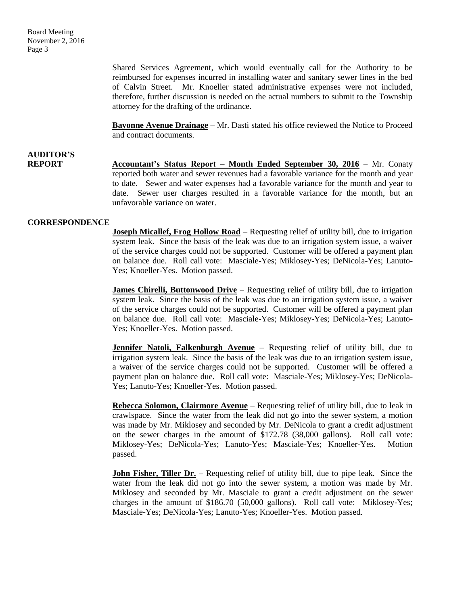Board Meeting November 2, 2016 Page 3

> Shared Services Agreement, which would eventually call for the Authority to be reimbursed for expenses incurred in installing water and sanitary sewer lines in the bed of Calvin Street. Mr. Knoeller stated administrative expenses were not included, therefore, further discussion is needed on the actual numbers to submit to the Township attorney for the drafting of the ordinance.

> **Bayonne Avenue Drainage** – Mr. Dasti stated his office reviewed the Notice to Proceed and contract documents.

### **AUDITOR'S**

**REPORT Accountant's Status Report – Month Ended September 30, 2016** – Mr. Conaty reported both water and sewer revenues had a favorable variance for the month and year to date. Sewer and water expenses had a favorable variance for the month and year to date. Sewer user charges resulted in a favorable variance for the month, but an unfavorable variance on water.

#### **CORRESPONDENCE**

**Joseph Micallef, Frog Hollow Road** – Requesting relief of utility bill, due to irrigation system leak. Since the basis of the leak was due to an irrigation system issue, a waiver of the service charges could not be supported. Customer will be offered a payment plan on balance due. Roll call vote: Masciale-Yes; Miklosey-Yes; DeNicola-Yes; Lanuto-Yes; Knoeller-Yes. Motion passed.

**James Chirelli, Buttonwood Drive** – Requesting relief of utility bill, due to irrigation system leak. Since the basis of the leak was due to an irrigation system issue, a waiver of the service charges could not be supported. Customer will be offered a payment plan on balance due. Roll call vote: Masciale-Yes; Miklosey-Yes; DeNicola-Yes; Lanuto-Yes; Knoeller-Yes. Motion passed.

**Jennifer Natoli, Falkenburgh Avenue** – Requesting relief of utility bill, due to irrigation system leak. Since the basis of the leak was due to an irrigation system issue, a waiver of the service charges could not be supported. Customer will be offered a payment plan on balance due. Roll call vote: Masciale-Yes; Miklosey-Yes; DeNicola-Yes; Lanuto-Yes; Knoeller-Yes. Motion passed.

**Rebecca Solomon, Clairmore Avenue** – Requesting relief of utility bill, due to leak in crawlspace. Since the water from the leak did not go into the sewer system, a motion was made by Mr. Miklosey and seconded by Mr. DeNicola to grant a credit adjustment on the sewer charges in the amount of \$172.78 (38,000 gallons). Roll call vote: Miklosey-Yes; DeNicola-Yes; Lanuto-Yes; Masciale-Yes; Knoeller-Yes. Motion passed.

**John Fisher, Tiller Dr.** – Requesting relief of utility bill, due to pipe leak. Since the water from the leak did not go into the sewer system, a motion was made by Mr. Miklosey and seconded by Mr. Masciale to grant a credit adjustment on the sewer charges in the amount of \$186.70 (50,000 gallons). Roll call vote: Miklosey-Yes; Masciale-Yes; DeNicola-Yes; Lanuto-Yes; Knoeller-Yes. Motion passed.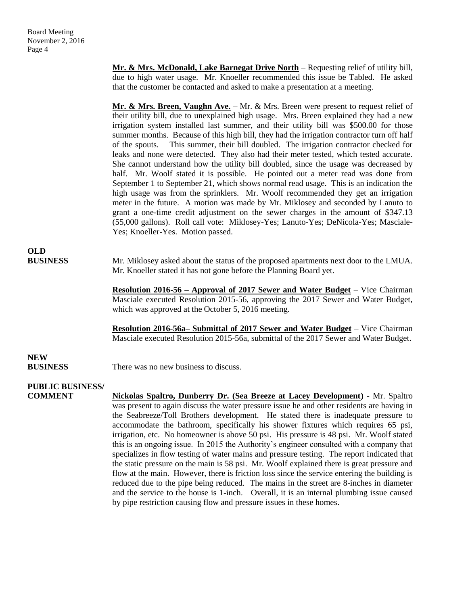**Mr. & Mrs. McDonald, Lake Barnegat Drive North** – Requesting relief of utility bill, due to high water usage. Mr. Knoeller recommended this issue be Tabled. He asked that the customer be contacted and asked to make a presentation at a meeting.

**Mr. & Mrs. Breen, Vaughn Ave.** – Mr. & Mrs. Breen were present to request relief of their utility bill, due to unexplained high usage. Mrs. Breen explained they had a new irrigation system installed last summer, and their utility bill was \$500.00 for those summer months. Because of this high bill, they had the irrigation contractor turn off half of the spouts. This summer, their bill doubled. The irrigation contractor checked for leaks and none were detected. They also had their meter tested, which tested accurate. She cannot understand how the utility bill doubled, since the usage was decreased by half. Mr. Woolf stated it is possible. He pointed out a meter read was done from September 1 to September 21, which shows normal read usage. This is an indication the high usage was from the sprinklers. Mr. Woolf recommended they get an irrigation meter in the future. A motion was made by Mr. Miklosey and seconded by Lanuto to grant a one-time credit adjustment on the sewer charges in the amount of \$347.13 (55,000 gallons). Roll call vote: Miklosey-Yes; Lanuto-Yes; DeNicola-Yes; Masciale-Yes; Knoeller-Yes. Motion passed.

## **OLD**

**BUSINESS** Mr. Miklosey asked about the status of the proposed apartments next door to the LMUA. Mr. Knoeller stated it has not gone before the Planning Board yet.

> **Resolution 2016-56 – Approval of 2017 Sewer and Water Budget** – Vice Chairman Masciale executed Resolution 2015-56, approving the 2017 Sewer and Water Budget, which was approved at the October 5, 2016 meeting.

> **Resolution 2016-56a– Submittal of 2017 Sewer and Water Budget** – Vice Chairman Masciale executed Resolution 2015-56a, submittal of the 2017 Sewer and Water Budget.

# **NEW**

**BUSINESS** There was no new business to discuss.

#### **PUBLIC BUSINESS/**

**COMMENT Nickolas Spaltro, Dunberry Dr. (Sea Breeze at Lacey Development)** - Mr. Spaltro was present to again discuss the water pressure issue he and other residents are having in the Seabreeze/Toll Brothers development. He stated there is inadequate pressure to accommodate the bathroom, specifically his shower fixtures which requires 65 psi, irrigation, etc. No homeowner is above 50 psi. His pressure is 48 psi. Mr. Woolf stated this is an ongoing issue. In 2015 the Authority's engineer consulted with a company that specializes in flow testing of water mains and pressure testing. The report indicated that the static pressure on the main is 58 psi. Mr. Woolf explained there is great pressure and flow at the main. However, there is friction loss since the service entering the building is reduced due to the pipe being reduced. The mains in the street are 8-inches in diameter and the service to the house is 1-inch. Overall, it is an internal plumbing issue caused by pipe restriction causing flow and pressure issues in these homes.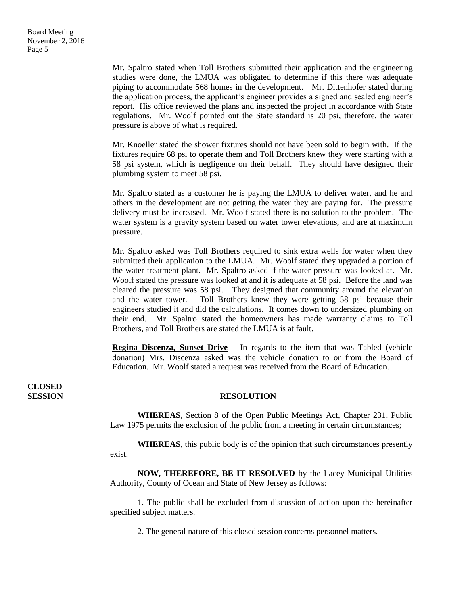Mr. Spaltro stated when Toll Brothers submitted their application and the engineering studies were done, the LMUA was obligated to determine if this there was adequate piping to accommodate 568 homes in the development. Mr. Dittenhofer stated during the application process, the applicant's engineer provides a signed and sealed engineer's report. His office reviewed the plans and inspected the project in accordance with State regulations. Mr. Woolf pointed out the State standard is 20 psi, therefore, the water pressure is above of what is required.

Mr. Knoeller stated the shower fixtures should not have been sold to begin with. If the fixtures require 68 psi to operate them and Toll Brothers knew they were starting with a 58 psi system, which is negligence on their behalf. They should have designed their plumbing system to meet 58 psi.

Mr. Spaltro stated as a customer he is paying the LMUA to deliver water, and he and others in the development are not getting the water they are paying for. The pressure delivery must be increased. Mr. Woolf stated there is no solution to the problem. The water system is a gravity system based on water tower elevations, and are at maximum pressure.

Mr. Spaltro asked was Toll Brothers required to sink extra wells for water when they submitted their application to the LMUA. Mr. Woolf stated they upgraded a portion of the water treatment plant. Mr. Spaltro asked if the water pressure was looked at. Mr. Woolf stated the pressure was looked at and it is adequate at 58 psi. Before the land was cleared the pressure was 58 psi. They designed that community around the elevation and the water tower. Toll Brothers knew they were getting 58 psi because their engineers studied it and did the calculations. It comes down to undersized plumbing on their end. Mr. Spaltro stated the homeowners has made warranty claims to Toll Brothers, and Toll Brothers are stated the LMUA is at fault.

**Regina Discenza, Sunset Drive** – In regards to the item that was Tabled (vehicle donation) Mrs. Discenza asked was the vehicle donation to or from the Board of Education. Mr. Woolf stated a request was received from the Board of Education.

**CLOSED** 

#### **SESSION RESOLUTION**

**WHEREAS,** Section 8 of the Open Public Meetings Act, Chapter 231, Public Law 1975 permits the exclusion of the public from a meeting in certain circumstances;

**WHEREAS**, this public body is of the opinion that such circumstances presently exist.

**NOW, THEREFORE, BE IT RESOLVED** by the Lacey Municipal Utilities Authority, County of Ocean and State of New Jersey as follows:

1. The public shall be excluded from discussion of action upon the hereinafter specified subject matters.

2. The general nature of this closed session concerns personnel matters.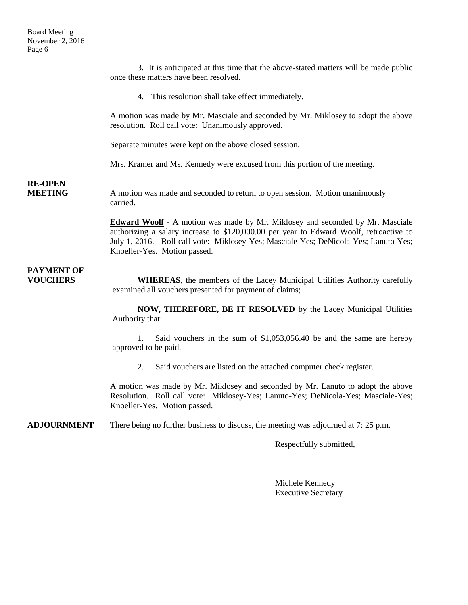3. It is anticipated at this time that the above-stated matters will be made public once these matters have been resolved.

4. This resolution shall take effect immediately.

A motion was made by Mr. Masciale and seconded by Mr. Miklosey to adopt the above resolution. Roll call vote: Unanimously approved.

Separate minutes were kept on the above closed session.

Mrs. Kramer and Ms. Kennedy were excused from this portion of the meeting.

### **RE-OPEN**

**MEETING** A motion was made and seconded to return to open session. Motion unanimously carried.

> **Edward Woolf** - A motion was made by Mr. Miklosey and seconded by Mr. Masciale authorizing a salary increase to \$120,000.00 per year to Edward Woolf, retroactive to July 1, 2016. Roll call vote: Miklosey-Yes; Masciale-Yes; DeNicola-Yes; Lanuto-Yes; Knoeller-Yes. Motion passed.

## **PAYMENT OF**

**VOUCHERS WHEREAS**, the members of the Lacey Municipal Utilities Authority carefully examined all vouchers presented for payment of claims;

> **NOW, THEREFORE, BE IT RESOLVED** by the Lacey Municipal Utilities Authority that:

> 1. Said vouchers in the sum of \$1,053,056.40 be and the same are hereby approved to be paid.

2. Said vouchers are listed on the attached computer check register.

A motion was made by Mr. Miklosey and seconded by Mr. Lanuto to adopt the above Resolution. Roll call vote: Miklosey-Yes; Lanuto-Yes; DeNicola-Yes; Masciale-Yes; Knoeller-Yes. Motion passed.

**ADJOURNMENT** There being no further business to discuss, the meeting was adjourned at 7: 25 p.m.

Respectfully submitted,

Michele Kennedy Executive Secretary